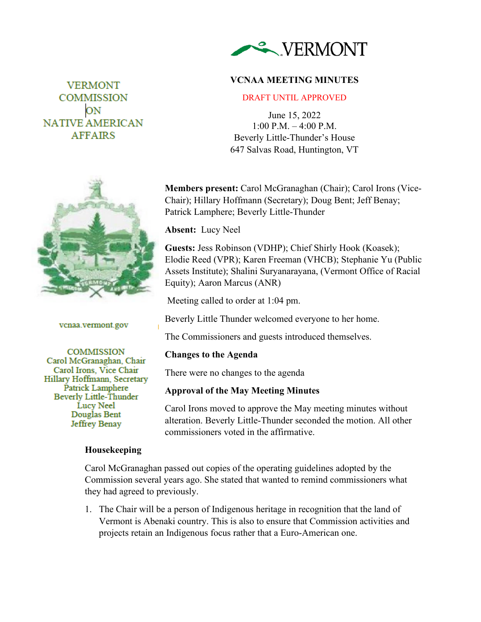

### **VCNAA MEETING MINUTES**

#### DRAFT UNTIL APPROVED

June 15, 2022 1:00 P.M. – 4:00 P.M. Beverly Little-Thunder's House 647 Salvas Road, Huntington, VT

**Members present:** Carol McGranaghan (Chair); Carol Irons (Vice-Chair); Hillary Hoffmann (Secretary); Doug Bent; Jeff Benay; Patrick Lamphere; Beverly Little-Thunder

**Absent:** Lucy Neel

**Guests:** Jess Robinson (VDHP); Chief Shirly Hook (Koasek); Elodie Reed (VPR); Karen Freeman (VHCB); Stephanie Yu (Public Assets Institute); Shalini Suryanarayana, (Vermont Office of Racial Equity); Aaron Marcus (ANR)

Meeting called to order at 1:04 pm.

Beverly Little Thunder welcomed everyone to her home.

The Commissioners and guests introduced themselves.

#### **Changes to the Agenda**

There were no changes to the agenda

#### **Approval of the May Meeting Minutes**

Carol Irons moved to approve the May meeting minutes without alteration. Beverly Little-Thunder seconded the motion. All other commissioners voted in the affirmative.

Carol McGranaghan passed out copies of the operating guidelines adopted by the Commission several years ago. She stated that wanted to remind commissioners what they had agreed to previously.

1. The Chair will be a person of Indigenous heritage in recognition that the land of Vermont is Abenaki country. This is also to ensure that Commission activities and projects retain an Indigenous focus rather that a Euro-American one.

# **VERMONT COMMISSION** ON **NATIVE AMERICAN AFFAIRS**



vcnaa.vermont.gov

**COMMISSION** Carol McGranaghan, Chair Carol Irons, Vice Chair Hillary Hoffmann, Secretary Patrick Lamphere **Beverly Little-Thunder** Lucy Neel Douglas Bent Jeffrey Benay

### **Housekeeping**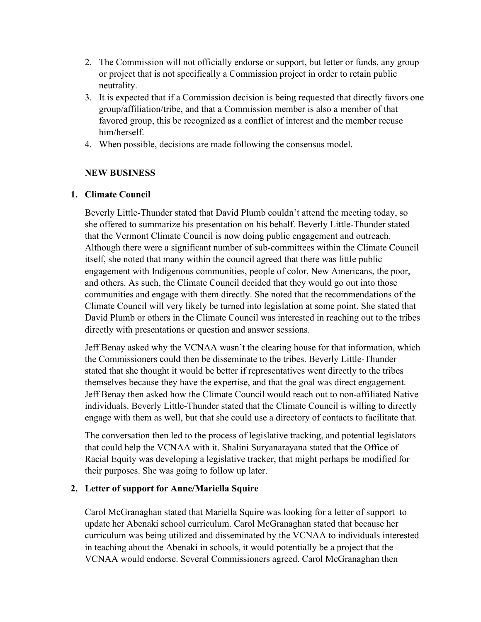- 2. The Commission will not officially endorse or support, but letter or funds, any group or project that is not specifically a Commission project in order to retain public neutrality.
- 3. It is expected that if a Commission decision is being requested that directly favors one group/affiliation/tribe, and that a Commission member is also a member of that favored group, this be recognized as a conflict of interest and the member recuse him/herself.
- 4. When possible, decisions are made following the consensus model.

### **NEW BUSINESS**

### **1. Climate Council**

Beverly Little-Thunder stated that David Plumb couldn't attend the meeting today, so she offered to summarize his presentation on his behalf. Beverly Little-Thunder stated that the Vermont Climate Council is now doing public engagement and outreach. Although there were a significant number of sub-committees within the Climate Council itself, she noted that many within the council agreed that there was little public engagement with Indigenous communities, people of color, New Americans, the poor, and others. As such, the Climate Council decided that they would go out into those communities and engage with them directly. She noted that the recommendations of the Climate Council will very likely be turned into legislation at some point. She stated that David Plumb or others in the Climate Council was interested in reaching out to the tribes directly with presentations or question and answer sessions.

Jeff Benay asked why the VCNAA wasn't the clearing house for that information, which the Commissioners could then be disseminate to the tribes. Beverly Little-Thunder stated that she thought it would be better if representatives went directly to the tribes themselves because they have the expertise, and that the goal was direct engagement. Jeff Benay then asked how the Climate Council would reach out to non-affiliated Native individuals. Beverly Little-Thunder stated that the Climate Council is willing to directly engage with them as well, but that she could use a directory of contacts to facilitate that.

The conversation then led to the process of legislative tracking, and potential legislators that could help the VCNAA with it. Shalini Suryanarayana stated that the Office of Racial Equity was developing a legislative tracker, that might perhaps be modified for their purposes. She was going to follow up later.

### **2. Letter of support for Anne/Mariella Squire**

Carol McGranaghan stated that Mariella Squire was looking for a letter of support to update her Abenaki school curriculum. Carol McGranaghan stated that because her curriculum was being utilized and disseminated by the VCNAA to individuals interested in teaching about the Abenaki in schools, it would potentially be a project that the VCNAA would endorse. Several Commissioners agreed. Carol McGranaghan then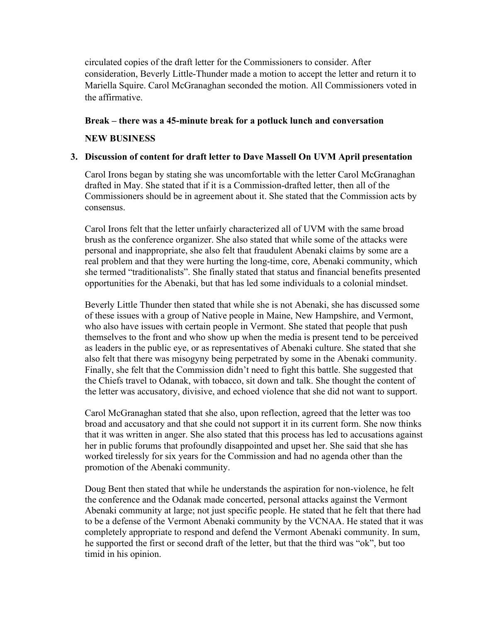circulated copies of the draft letter for the Commissioners to consider. After consideration, Beverly Little-Thunder made a motion to accept the letter and return it to Mariella Squire. Carol McGranaghan seconded the motion. All Commissioners voted in the affirmative.

#### **Break – there was a 45-minute break for a potluck lunch and conversation**

#### **NEW BUSINESS**

### **3. Discussion of content for draft letter to Dave Massell On UVM April presentation**

Carol Irons began by stating she was uncomfortable with the letter Carol McGranaghan drafted in May. She stated that if it is a Commission-drafted letter, then all of the Commissioners should be in agreement about it. She stated that the Commission acts by consensus.

Carol Irons felt that the letter unfairly characterized all of UVM with the same broad brush as the conference organizer. She also stated that while some of the attacks were personal and inappropriate, she also felt that fraudulent Abenaki claims by some are a real problem and that they were hurting the long-time, core, Abenaki community, which she termed "traditionalists". She finally stated that status and financial benefits presented opportunities for the Abenaki, but that has led some individuals to a colonial mindset.

Beverly Little Thunder then stated that while she is not Abenaki, she has discussed some of these issues with a group of Native people in Maine, New Hampshire, and Vermont, who also have issues with certain people in Vermont. She stated that people that push themselves to the front and who show up when the media is present tend to be perceived as leaders in the public eye, or as representatives of Abenaki culture. She stated that she also felt that there was misogyny being perpetrated by some in the Abenaki community. Finally, she felt that the Commission didn't need to fight this battle. She suggested that the Chiefs travel to Odanak, with tobacco, sit down and talk. She thought the content of the letter was accusatory, divisive, and echoed violence that she did not want to support.

Carol McGranaghan stated that she also, upon reflection, agreed that the letter was too broad and accusatory and that she could not support it in its current form. She now thinks that it was written in anger. She also stated that this process has led to accusations against her in public forums that profoundly disappointed and upset her. She said that she has worked tirelessly for six years for the Commission and had no agenda other than the promotion of the Abenaki community.

Doug Bent then stated that while he understands the aspiration for non-violence, he felt the conference and the Odanak made concerted, personal attacks against the Vermont Abenaki community at large; not just specific people. He stated that he felt that there had to be a defense of the Vermont Abenaki community by the VCNAA. He stated that it was completely appropriate to respond and defend the Vermont Abenaki community. In sum, he supported the first or second draft of the letter, but that the third was "ok", but too timid in his opinion.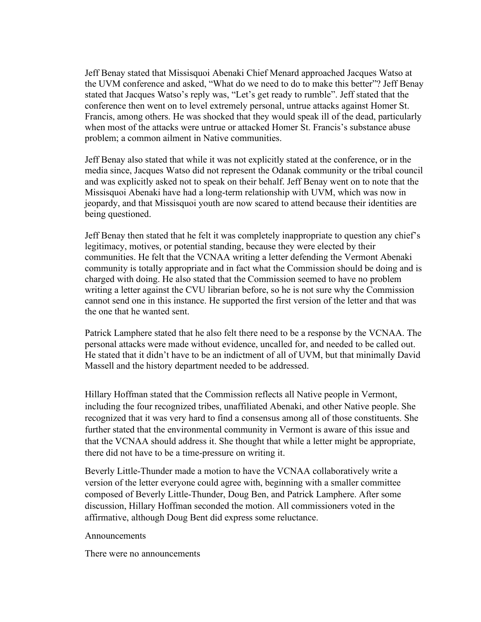Jeff Benay stated that Missisquoi Abenaki Chief Menard approached Jacques Watso at the UVM conference and asked, "What do we need to do to make this better"? Jeff Benay stated that Jacques Watso's reply was, "Let's get ready to rumble". Jeff stated that the conference then went on to level extremely personal, untrue attacks against Homer St. Francis, among others. He was shocked that they would speak ill of the dead, particularly when most of the attacks were untrue or attacked Homer St. Francis's substance abuse problem; a common ailment in Native communities.

Jeff Benay also stated that while it was not explicitly stated at the conference, or in the media since, Jacques Watso did not represent the Odanak community or the tribal council and was explicitly asked not to speak on their behalf. Jeff Benay went on to note that the Missisquoi Abenaki have had a long-term relationship with UVM, which was now in jeopardy, and that Missisquoi youth are now scared to attend because their identities are being questioned.

Jeff Benay then stated that he felt it was completely inappropriate to question any chief's legitimacy, motives, or potential standing, because they were elected by their communities. He felt that the VCNAA writing a letter defending the Vermont Abenaki community is totally appropriate and in fact what the Commission should be doing and is charged with doing. He also stated that the Commission seemed to have no problem writing a letter against the CVU librarian before, so he is not sure why the Commission cannot send one in this instance. He supported the first version of the letter and that was the one that he wanted sent.

Patrick Lamphere stated that he also felt there need to be a response by the VCNAA. The personal attacks were made without evidence, uncalled for, and needed to be called out. He stated that it didn't have to be an indictment of all of UVM, but that minimally David Massell and the history department needed to be addressed.

Hillary Hoffman stated that the Commission reflects all Native people in Vermont, including the four recognized tribes, unaffiliated Abenaki, and other Native people. She recognized that it was very hard to find a consensus among all of those constituents. She further stated that the environmental community in Vermont is aware of this issue and that the VCNAA should address it. She thought that while a letter might be appropriate, there did not have to be a time-pressure on writing it.

Beverly Little-Thunder made a motion to have the VCNAA collaboratively write a version of the letter everyone could agree with, beginning with a smaller committee composed of Beverly Little-Thunder, Doug Ben, and Patrick Lamphere. After some discussion, Hillary Hoffman seconded the motion. All commissioners voted in the affirmative, although Doug Bent did express some reluctance.

Announcements

There were no announcements